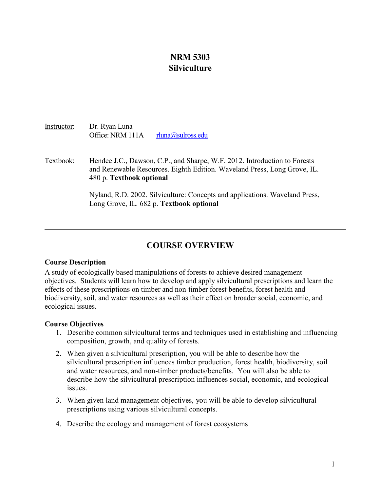# **NRM 5303 Silviculture**

Instructor: Dr. Ryan Luna Office: NRM 111A [rluna@sulross.edu](mailto:rluna@sulross.edu)

Textbook: Hendee J.C., Dawson, C.P., and Sharpe, W.F. 2012. Introduction to Forests and Renewable Resources. Eighth Edition. Waveland Press, Long Grove, IL. 480 p. **Textbook optional**

> Nyland, R.D. 2002. Silviculture: Concepts and applications. Waveland Press, Long Grove, IL. 682 p. **Textbook optional**

# **COURSE OVERVIEW**

## **Course Description**

A study of ecologically based manipulations of forests to achieve desired management objectives. Students will learn how to develop and apply silvicultural prescriptions and learn the effects of these prescriptions on timber and non-timber forest benefits, forest health and biodiversity, soil, and water resources as well as their effect on broader social, economic, and ecological issues.

## **Course Objectives**

- 1. Describe common silvicultural terms and techniques used in establishing and influencing composition, growth, and quality of forests.
- 2. When given a silvicultural prescription, you will be able to describe how the silvicultural prescription influences timber production, forest health, biodiversity, soil and water resources, and non-timber products/benefits. You will also be able to describe how the silvicultural prescription influences social, economic, and ecological issues.
- 3. When given land management objectives, you will be able to develop silvicultural prescriptions using various silvicultural concepts.
- 4. Describe the ecology and management of forest ecosystems